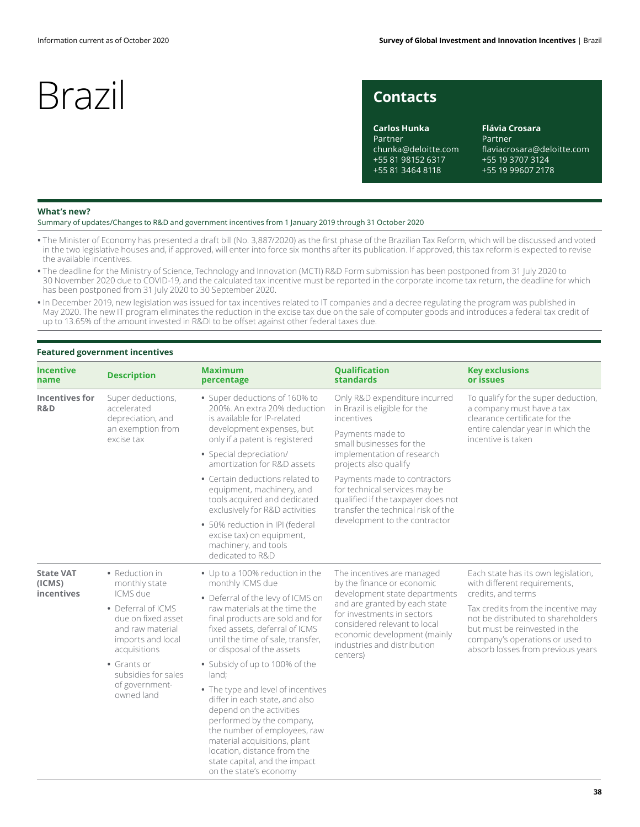## **Contacts**

**Carlos Hunka** Partner chunka@deloitte.com +55 81 98152 6317 +55 81 3464 8118

**Flávia Crosara** Partner flaviacrosara@deloitte.com +55 19 3707 3124 +55 19 99607 2178

### **What's new?**

Summary of updates/Changes to R&D and government incentives from 1 January 2019 through 31 October 2020

- **•** The Minister of Economy has presented a draft bill (No. 3,887/2020) as the first phase of the Brazilian Tax Reform, which will be discussed and voted in the two legislative houses and, if approved, will enter into force six months after its publication. If approved, this tax reform is expected to revise the available incentives.
- **•** The deadline for the Ministry of Science, Technology and Innovation (MCTI) R&D Form submission has been postponed from 31 July 2020 to 30 November 2020 due to COVID-19, and the calculated tax incentive must be reported in the corporate income tax return, the deadline for which has been postponed from 31 July 2020 to 30 September 2020.
- **•** In December 2019, new legislation was issued for tax incentives related to IT companies and a decree regulating the program was published in May 2020. The new IT program eliminates the reduction in the excise tax due on the sale of computer goods and introduces a federal tax credit of up to 13.65% of the amount invested in R&DI to be offset against other federal taxes due.

### **Featured government incentives**

| <b>Incentive</b><br>name                 | <b>Description</b>                                                                                            | <b>Maximum</b><br>percentage                                                                                                                                                                                                                                                            | <b>Qualification</b><br>standards                                                                                                                                                                       | <b>Key exclusions</b><br>or issues                                                                                                                                                                      |  |
|------------------------------------------|---------------------------------------------------------------------------------------------------------------|-----------------------------------------------------------------------------------------------------------------------------------------------------------------------------------------------------------------------------------------------------------------------------------------|---------------------------------------------------------------------------------------------------------------------------------------------------------------------------------------------------------|---------------------------------------------------------------------------------------------------------------------------------------------------------------------------------------------------------|--|
| <b>Incentives for</b><br>R&D             | Super deductions,<br>accelerated<br>depreciation, and<br>an exemption from<br>excise tax                      | • Super deductions of 160% to<br>200%. An extra 20% deduction<br>is available for IP-related<br>development expenses, but<br>only if a patent is registered                                                                                                                             | Only R&D expenditure incurred<br>in Brazil is eligible for the<br>incentives<br>Payments made to                                                                                                        | To qualify for the super deduction,<br>a company must have a tax<br>clearance certificate for the<br>entire calendar year in which the<br>incentive is taken                                            |  |
|                                          |                                                                                                               | • Special depreciation/<br>amortization for R&D assets                                                                                                                                                                                                                                  | small businesses for the<br>implementation of research<br>projects also qualify                                                                                                                         |                                                                                                                                                                                                         |  |
|                                          |                                                                                                               | • Certain deductions related to<br>equipment, machinery, and<br>tools acquired and dedicated<br>exclusively for R&D activities                                                                                                                                                          | Payments made to contractors<br>for technical services may be<br>qualified if the taxpayer does not<br>transfer the technical risk of the                                                               |                                                                                                                                                                                                         |  |
|                                          |                                                                                                               | • 50% reduction in IPI (federal<br>excise tax) on equipment,<br>machinery, and tools<br>dedicated to R&D                                                                                                                                                                                | development to the contractor                                                                                                                                                                           |                                                                                                                                                                                                         |  |
| <b>State VAT</b><br>(ICMS)<br>incentives | • Reduction in<br>monthly state                                                                               | • Up to a 100% reduction in the<br>monthly ICMS due                                                                                                                                                                                                                                     | The incentives are managed<br>by the finance or economic                                                                                                                                                | Each state has its own legislation,<br>with different requirements,                                                                                                                                     |  |
|                                          | ICMS due<br>• Deferral of ICMS<br>due on fixed asset<br>and raw material<br>imports and local<br>acquisitions | • Deferral of the levy of ICMS on<br>raw materials at the time the<br>final products are sold and for<br>fixed assets, deferral of ICMS<br>until the time of sale, transfer,<br>or disposal of the assets                                                                               | development state departments<br>and are granted by each state<br>for investments in sectors<br>considered relevant to local<br>economic development (mainly<br>industries and distribution<br>centers) | credits, and terms<br>Tax credits from the incentive may<br>not be distributed to shareholders<br>but must be reinvested in the<br>company's operations or used to<br>absorb losses from previous years |  |
|                                          | • Grants or<br>subsidies for sales                                                                            | • Subsidy of up to 100% of the<br>land:                                                                                                                                                                                                                                                 |                                                                                                                                                                                                         |                                                                                                                                                                                                         |  |
|                                          | of government-<br>owned land                                                                                  | • The type and level of incentives<br>differ in each state, and also<br>depend on the activities<br>performed by the company,<br>the number of employees, raw<br>material acquisitions, plant<br>location, distance from the<br>state capital, and the impact<br>on the state's economy |                                                                                                                                                                                                         |                                                                                                                                                                                                         |  |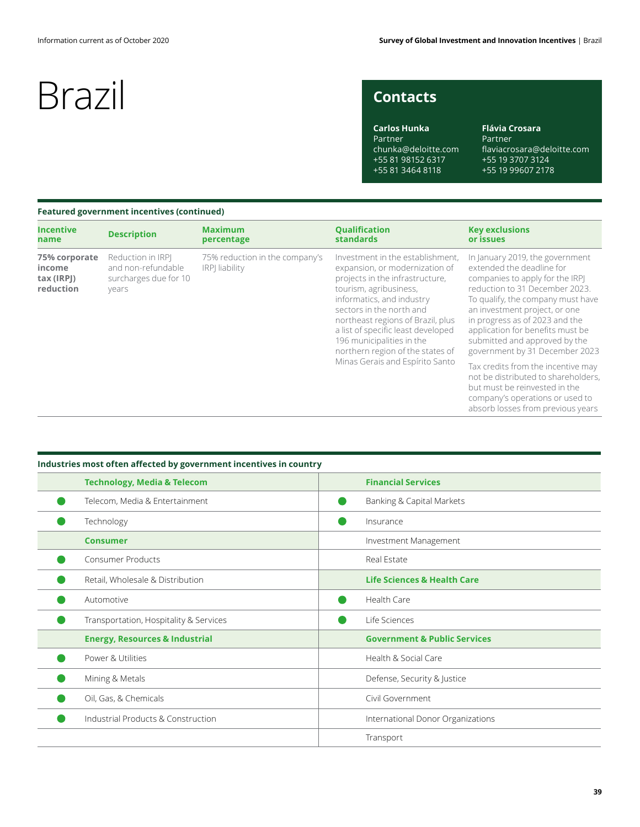## **Contacts**

**Carlos Hunka** Partner chunka@deloitte.com +55 81 98152 6317 +55 81 3464 8118

**Flávia Crosara** Partner flaviacrosara@deloitte.com +55 19 3707 3124 +55 19 99607 2178

## **Featured government incentives (continued)**

| <b>Incentive</b><br>name                           | <b>Description</b>                                                        | <b>Maximum</b><br>percentage                            | <b>Qualification</b><br><b>standards</b>                                                                                                                                                                                                                                                                                                                                | <b>Key exclusions</b><br>or issues                                                                                                                                                                                                                                                                                                               |
|----------------------------------------------------|---------------------------------------------------------------------------|---------------------------------------------------------|-------------------------------------------------------------------------------------------------------------------------------------------------------------------------------------------------------------------------------------------------------------------------------------------------------------------------------------------------------------------------|--------------------------------------------------------------------------------------------------------------------------------------------------------------------------------------------------------------------------------------------------------------------------------------------------------------------------------------------------|
| 75% corporate<br>income<br>tax (IRPJ)<br>reduction | Reduction in IRPI<br>and non-refundable<br>surcharges due for 10<br>years | 75% reduction in the company's<br><b>IRPI</b> liability | Investment in the establishment,<br>expansion, or modernization of<br>projects in the infrastructure,<br>tourism, agribusiness,<br>informatics, and industry<br>sectors in the north and<br>northeast regions of Brazil, plus<br>a list of specific least developed<br>196 municipalities in the<br>northern region of the states of<br>Minas Gerais and Espírito Santo | In January 2019, the government<br>extended the deadline for<br>companies to apply for the IRPJ<br>reduction to 31 December 2023.<br>To qualify, the company must have<br>an investment project, or one<br>in progress as of 2023 and the<br>application for benefits must be<br>submitted and approved by the<br>government by 31 December 2023 |
|                                                    |                                                                           |                                                         |                                                                                                                                                                                                                                                                                                                                                                         | Tax credits from the incentive may<br>not be distributed to shareholders,<br>but must be reinvested in the<br>company's operations or used to<br>absorb losses from previous years                                                                                                                                                               |

## **Technology, Media & Telecom Financial Services**  $\bullet$ Telecom, Media & Entertainment **Banking & Capital Markets** Banking & Capital Markets Technology **Insurance** Insurance **Consumer Investment Management Investment Management**  $\bullet$ Consumer Products **Consumer Products Real Estate** Retail, Wholesale & Distribution **Life Sciences & Health Care**  $\bullet$ Automotive **Health Care**  $\bullet$  $\bullet$ Transportation, Hospitality & Services **Life Sciences** Life Sciences **Energy, Resources & Industrial Government & Public Services**  $\bullet$ Power & Utilities **Health & Social Care** Mining & Metals **Defense, Security & Justice**  $\bullet$ Oil, Gas, & Chemicals Civil Government  $\bullet$  $\bullet$ Industrial Products & Construction **International Donor Organizations** International Donor Organizations Transport

## **Industries most often affected by government incentives in country**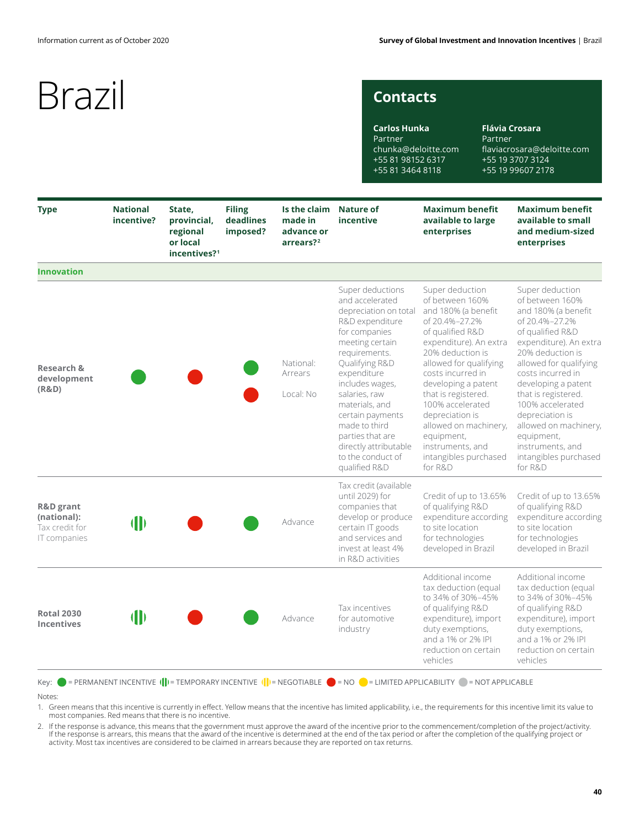## **Contacts**

**Carlos Hunka** Partner chunka@deloitte.com +55 81 98152 6317 +55 81 3464 8118

**Flávia Crosara** Partner flaviacrosara@deloitte.com +55 19 3707 3124 +55 19 99607 2178

| <b>Type</b>                                                           | <b>National</b><br>incentive? | State,<br>provincial,<br>regional<br>or local<br>incentives? <sup>1</sup> | <b>Filing</b><br>deadlines<br>imposed? | Is the claim<br>made in<br>advance or<br>arrears? <sup>2</sup> | <b>Nature of</b><br>incentive                                                                                                                                                                                                                                                                                                                       | <b>Maximum benefit</b><br>available to large<br>enterprises                                                                                                                                                                                                                                                                                                                      | <b>Maximum benefit</b><br>available to small<br>and medium-sized<br>enterprises                                                                                                                                                                                                                                                                                                  |
|-----------------------------------------------------------------------|-------------------------------|---------------------------------------------------------------------------|----------------------------------------|----------------------------------------------------------------|-----------------------------------------------------------------------------------------------------------------------------------------------------------------------------------------------------------------------------------------------------------------------------------------------------------------------------------------------------|----------------------------------------------------------------------------------------------------------------------------------------------------------------------------------------------------------------------------------------------------------------------------------------------------------------------------------------------------------------------------------|----------------------------------------------------------------------------------------------------------------------------------------------------------------------------------------------------------------------------------------------------------------------------------------------------------------------------------------------------------------------------------|
| <b>Innovation</b>                                                     |                               |                                                                           |                                        |                                                                |                                                                                                                                                                                                                                                                                                                                                     |                                                                                                                                                                                                                                                                                                                                                                                  |                                                                                                                                                                                                                                                                                                                                                                                  |
| <b>Research &amp;</b><br>development<br>(R&D)                         |                               |                                                                           |                                        | National:<br>Arrears<br>Local: No                              | Super deductions<br>and accelerated<br>depreciation on total<br>R&D expenditure<br>for companies<br>meeting certain<br>requirements.<br>Qualifying R&D<br>expenditure<br>includes wages,<br>salaries, raw<br>materials, and<br>certain payments<br>made to third<br>parties that are<br>directly attributable<br>to the conduct of<br>qualified R&D | Super deduction<br>of between 160%<br>and 180% (a benefit<br>of 20.4%-27.2%<br>of qualified R&D<br>expenditure). An extra<br>20% deduction is<br>allowed for qualifying<br>costs incurred in<br>developing a patent<br>that is registered.<br>100% accelerated<br>depreciation is<br>allowed on machinery,<br>equipment,<br>instruments, and<br>intangibles purchased<br>for R&D | Super deduction<br>of between 160%<br>and 180% (a benefit<br>of 20.4%-27.2%<br>of qualified R&D<br>expenditure). An extra<br>20% deduction is<br>allowed for qualifying<br>costs incurred in<br>developing a patent<br>that is registered.<br>100% accelerated<br>depreciation is<br>allowed on machinery,<br>equipment,<br>instruments, and<br>intangibles purchased<br>for R&D |
| <b>R&amp;D</b> grant<br>(national):<br>Tax credit for<br>IT companies | $\blacksquare$                |                                                                           |                                        | Advance                                                        | Tax credit (available<br>until 2029) for<br>companies that<br>develop or produce<br>certain IT goods<br>and services and<br>invest at least 4%<br>in R&D activities                                                                                                                                                                                 | Credit of up to 13.65%<br>of qualifying R&D<br>expenditure according<br>to site location<br>for technologies<br>developed in Brazil                                                                                                                                                                                                                                              | Credit of up to 13.65%<br>of qualifying R&D<br>expenditure according<br>to site location<br>for technologies<br>developed in Brazil                                                                                                                                                                                                                                              |
| <b>Rotal 2030</b><br><b>Incentives</b>                                | $\blacksquare$                |                                                                           |                                        | Advance                                                        | Tax incentives<br>for automotive<br>industry                                                                                                                                                                                                                                                                                                        | Additional income<br>tax deduction (equal<br>to 34% of 30%-45%<br>of qualifying R&D<br>expenditure), import<br>duty exemptions,<br>and a 1% or 2% IPI<br>reduction on certain<br>vehicles                                                                                                                                                                                        | Additional income<br>tax deduction (equal<br>to 34% of 30%-45%<br>of qualifying R&D<br>expenditure), import<br>duty exemptions,<br>and a 1% or 2% IPI<br>reduction on certain<br>vehicles                                                                                                                                                                                        |

Notes:

1. Green means that this incentive is currently in effect. Yellow means that the incentive has limited applicability, i.e., the requirements for this incentive limit its value to most companies. Red means that there is no incentive.

. If the response is advance, this means that the government must approve the award of the incentive prior to the commencement/completion of the project/activity.<br>If the response is arrears, this means that the award of th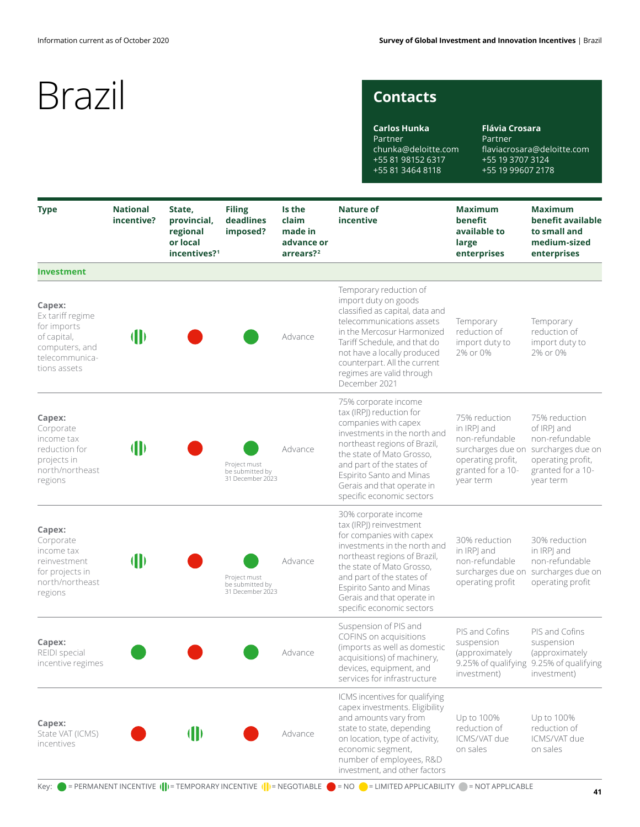## **Contacts**

**Carlos Hunka** Partner chunka@deloitte.com +55 81 98152 6317 +55 81 3464 8118

**Flávia Crosara** Partner flaviacrosara@deloitte.com +55 19 3707 3124 +55 19 99607 2178

| <b>Type</b>                                                                                                  | <b>National</b><br>incentive? | State,<br>provincial,<br>regional<br>or local<br>incentives? <sup>1</sup> | <b>Filing</b><br>deadlines<br>imposed?              | Is the<br>claim<br>made in<br>advance or<br>arrears? <sup>2</sup> | <b>Nature of</b><br>incentive                                                                                                                                                                                                                                                               | <b>Maximum</b><br>benefit<br>available to<br>large<br>enterprises                                                          | <b>Maximum</b><br>benefit available<br>to small and<br>medium-sized<br>enterprises                                         |
|--------------------------------------------------------------------------------------------------------------|-------------------------------|---------------------------------------------------------------------------|-----------------------------------------------------|-------------------------------------------------------------------|---------------------------------------------------------------------------------------------------------------------------------------------------------------------------------------------------------------------------------------------------------------------------------------------|----------------------------------------------------------------------------------------------------------------------------|----------------------------------------------------------------------------------------------------------------------------|
| <b>Investment</b>                                                                                            |                               |                                                                           |                                                     |                                                                   |                                                                                                                                                                                                                                                                                             |                                                                                                                            |                                                                                                                            |
| Capex:<br>Ex tariff regime<br>for imports<br>of capital,<br>computers, and<br>telecommunica-<br>tions assets | $\blacksquare$                |                                                                           |                                                     | Advance                                                           | Temporary reduction of<br>import duty on goods<br>classified as capital, data and<br>telecommunications assets<br>in the Mercosur Harmonized<br>Tariff Schedule, and that do<br>not have a locally produced<br>counterpart. All the current<br>regimes are valid through<br>December 2021   | Temporary<br>reduction of<br>import duty to<br>2% or 0%                                                                    | Temporary<br>reduction of<br>import duty to<br>2% or 0%                                                                    |
| Capex:<br>Corporate<br>income tax<br>reduction for<br>projects in<br>north/northeast<br>regions              | $\blacksquare$                |                                                                           | Project must<br>be submitted by<br>31 December 2023 | Advance                                                           | 75% corporate income<br>tax (IRPJ) reduction for<br>companies with capex<br>investments in the north and<br>northeast regions of Brazil,<br>the state of Mato Grosso,<br>and part of the states of<br>Espirito Santo and Minas<br>Gerais and that operate in<br>specific economic sectors   | 75% reduction<br>in IRPJ and<br>non-refundable<br>surcharges due on<br>operating profit,<br>granted for a 10-<br>year term | 75% reduction<br>of IRPI and<br>non-refundable<br>surcharges due on<br>operating profit,<br>granted for a 10-<br>year term |
| Capex:<br>Corporate<br>income tax<br>reinvestment<br>for projects in<br>north/northeast<br>regions           | $\blacksquare$                |                                                                           | Project must<br>be submitted by<br>31 December 2023 | Advance                                                           | 30% corporate income<br>tax (IRP) reinvestment<br>for companies with capex<br>investments in the north and<br>northeast regions of Brazil,<br>the state of Mato Grosso,<br>and part of the states of<br>Espirito Santo and Minas<br>Gerais and that operate in<br>specific economic sectors | 30% reduction<br>in IRPJ and<br>non-refundable<br>surcharges due on<br>operating profit                                    | 30% reduction<br>in IRPJ and<br>non-refundable<br>surcharges due on<br>operating profit                                    |
| Capex:<br>REIDI special<br>incentive regimes                                                                 |                               |                                                                           |                                                     | Advance                                                           | Suspension of PIS and<br>COFINS on acquisitions<br>(imports as well as domestic<br>acquisitions) of machinery,<br>devices, equipment, and<br>services for infrastructure                                                                                                                    | PIS and Cofins<br>suspension<br>(approximately<br>9.25% of qualifying<br>investment)                                       | PIS and Cofins<br>suspension<br>(approximately<br>9.25% of qualifying<br>investment)                                       |
| Capex:<br>State VAT (ICMS)<br>incentives                                                                     |                               | $\mathbf{\Vert}$                                                          |                                                     | Advance                                                           | ICMS incentives for qualifying<br>capex investments. Eligibility<br>and amounts vary from<br>state to state, depending<br>on location, type of activity,<br>economic segment,<br>number of employees, R&D<br>investment, and other factors                                                  | Up to 100%<br>reduction of<br>ICMS/VAT due<br>on sales                                                                     | Up to 100%<br>reduction of<br>ICMS/VAT due<br>on sales                                                                     |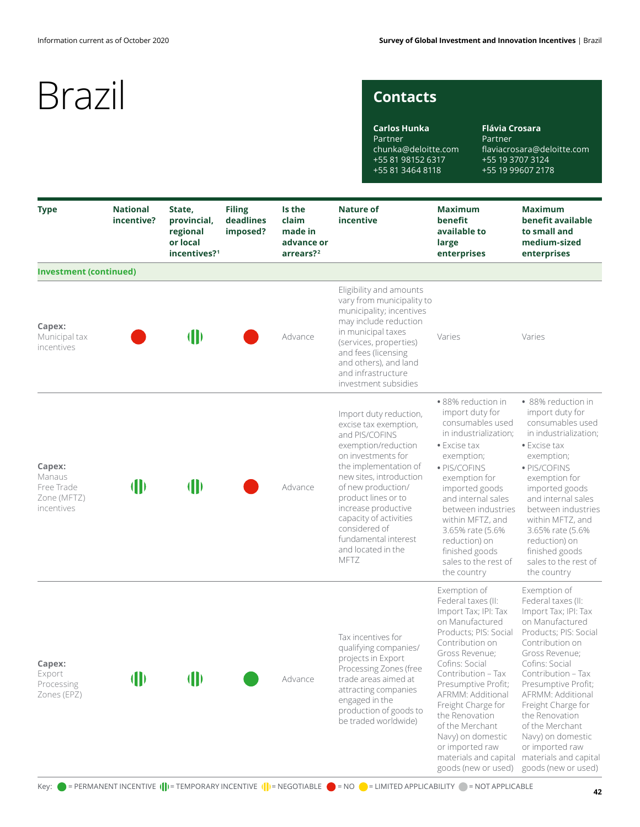## **Contacts**

**Carlos Hunka** Partner chunka@deloitte.com +55 81 98152 6317 +55 81 3464 8118

**Flávia Crosara** Partner flaviacrosara@deloitte.com +55 19 3707 3124 +55 19 99607 2178

| <b>Type</b>                                                 | <b>National</b><br>incentive? | State,<br>provincial,<br>regional<br>or local<br>incentives? <sup>1</sup> | <b>Filing</b><br>deadlines<br>imposed? | Is the<br>claim<br>made in<br>advance or<br>arrears? <sup>2</sup> | Nature of<br>incentive                                                                                                                                                                                                                                                                                                                  | <b>Maximum</b><br>benefit<br>available to<br>large<br>enterprises                                                                                                                                                                                                                                                                                                                  | <b>Maximum</b><br>benefit available<br>to small and<br>medium-sized<br>enterprises                                                                                                                                                                                                                                                                                                 |
|-------------------------------------------------------------|-------------------------------|---------------------------------------------------------------------------|----------------------------------------|-------------------------------------------------------------------|-----------------------------------------------------------------------------------------------------------------------------------------------------------------------------------------------------------------------------------------------------------------------------------------------------------------------------------------|------------------------------------------------------------------------------------------------------------------------------------------------------------------------------------------------------------------------------------------------------------------------------------------------------------------------------------------------------------------------------------|------------------------------------------------------------------------------------------------------------------------------------------------------------------------------------------------------------------------------------------------------------------------------------------------------------------------------------------------------------------------------------|
| <b>Investment (continued)</b>                               |                               |                                                                           |                                        |                                                                   |                                                                                                                                                                                                                                                                                                                                         |                                                                                                                                                                                                                                                                                                                                                                                    |                                                                                                                                                                                                                                                                                                                                                                                    |
| Capex:<br>Municipal tax<br>incentives                       |                               | $\blacksquare$                                                            |                                        | Advance                                                           | Eligibility and amounts<br>vary from municipality to<br>municipality; incentives<br>may include reduction<br>in municipal taxes<br>(services, properties)<br>and fees (licensing<br>and others), and land<br>and infrastructure<br>investment subsidies                                                                                 | Varies                                                                                                                                                                                                                                                                                                                                                                             | Varies                                                                                                                                                                                                                                                                                                                                                                             |
| Capex:<br>Manaus<br>Free Trade<br>Zone (MFTZ)<br>incentives | $\mathbf{\Vert}$              | $\blacksquare$                                                            |                                        | Advance                                                           | Import duty reduction,<br>excise tax exemption,<br>and PIS/COFINS<br>exemption/reduction<br>on investments for<br>the implementation of<br>new sites, introduction<br>of new production/<br>product lines or to<br>increase productive<br>capacity of activities<br>considered of<br>fundamental interest<br>and located in the<br>MFTZ | · 88% reduction in<br>import duty for<br>consumables used<br>in industrialization;<br>• Excise tax<br>exemption;<br>· PIS/COFINS<br>exemption for<br>imported goods<br>and internal sales<br>between industries<br>within MFTZ, and<br>3.65% rate (5.6%)<br>reduction) on<br>finished goods<br>sales to the rest of<br>the country                                                 | • 88% reduction in<br>import duty for<br>consumables used<br>in industrialization;<br>• Excise tax<br>exemption;<br>· PIS/COFINS<br>exemption for<br>imported goods<br>and internal sales<br>between industries<br>within MFTZ, and<br>3.65% rate (5.6%)<br>reduction) on<br>finished goods<br>sales to the rest of<br>the country                                                 |
| Capex:<br>Export<br>Processing<br>Zones (EPZ)               | $\mathbf{\Vert}$              | $\blacksquare$                                                            |                                        | Advance                                                           | Tax incentives for<br>qualifying companies/<br>projects in Export<br>Processing Zones (free<br>trade areas aimed at<br>attracting companies<br>engaged in the<br>production of goods to<br>be traded worldwide)                                                                                                                         | Exemption of<br>Federal taxes (II:<br>Import Tax; IPI: Tax<br>on Manufactured<br>Products: PIS: Social<br>Contribution on<br>Gross Revenue;<br>Cofins: Social<br>Contribution - Tax<br>Presumptive Profit;<br>AFRMM: Additional<br>Freight Charge for<br>the Renovation<br>of the Merchant<br>Navy) on domestic<br>or imported raw<br>materials and capital<br>goods (new or used) | Exemption of<br>Federal taxes (II:<br>Import Tax; IPI: Tax<br>on Manufactured<br>Products; PIS: Social<br>Contribution on<br>Gross Revenue;<br>Cofins: Social<br>Contribution - Tax<br>Presumptive Profit;<br>AFRMM: Additional<br>Freight Charge for<br>the Renovation<br>of the Merchant<br>Navy) on domestic<br>or imported raw<br>materials and capital<br>goods (new or used) |

Key:  $\bullet$  = PERMANENT INCENTIVE  $(\cdot|\cdot)$  = TEMPORARY INCENTIVE  $(\cdot|\cdot)$  = NEGOTIABLE  $\bullet$  = NO  $\bullet$  = LIMITED APPLICABILITY  $\bullet$  = NOT APPLICABLE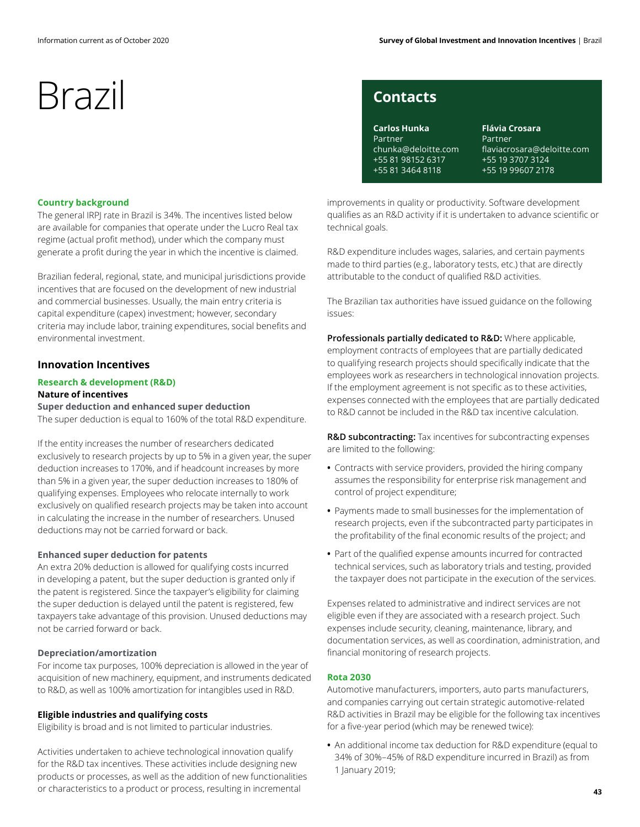# Brazil contacts

### **Country background**

The general IRPJ rate in Brazil is 34%. The incentives listed below are available for companies that operate under the Lucro Real tax regime (actual profit method), under which the company must generate a profit during the year in which the incentive is claimed.

Brazilian federal, regional, state, and municipal jurisdictions provide incentives that are focused on the development of new industrial and commercial businesses. Usually, the main entry criteria is capital expenditure (capex) investment; however, secondary criteria may include labor, training expenditures, social benefits and environmental investment.

## **Innovation Incentives**

## **Research & development (R&D)**

## **Nature of incentives**

**Super deduction and enhanced super deduction** The super deduction is equal to 160% of the total R&D expenditure.

If the entity increases the number of researchers dedicated exclusively to research projects by up to 5% in a given year, the super deduction increases to 170%, and if headcount increases by more than 5% in a given year, the super deduction increases to 180% of qualifying expenses. Employees who relocate internally to work exclusively on qualified research projects may be taken into account in calculating the increase in the number of researchers. Unused deductions may not be carried forward or back.

## **Enhanced super deduction for patents**

An extra 20% deduction is allowed for qualifying costs incurred in developing a patent, but the super deduction is granted only if the patent is registered. Since the taxpayer's eligibility for claiming the super deduction is delayed until the patent is registered, few taxpayers take advantage of this provision. Unused deductions may not be carried forward or back.

## **Depreciation/amortization**

For income tax purposes, 100% depreciation is allowed in the year of acquisition of new machinery, equipment, and instruments dedicated to R&D, as well as 100% amortization for intangibles used in R&D.

## **Eligible industries and qualifying costs**

Eligibility is broad and is not limited to particular industries.

Activities undertaken to achieve technological innovation qualify for the R&D tax incentives. These activities include designing new products or processes, as well as the addition of new functionalities or characteristics to a product or process, resulting in incremental

**Carlos Hunka** Partner chunka@deloitte.com +55 81 98152 6317 +55 81 3464 8118

**Flávia Crosara** Partner flaviacrosara@deloitte.com +55 19 3707 3124 +55 19 99607 2178

improvements in quality or productivity. Software development qualifies as an R&D activity if it is undertaken to advance scientific or technical goals.

R&D expenditure includes wages, salaries, and certain payments made to third parties (e.g., laboratory tests, etc.) that are directly attributable to the conduct of qualified R&D activities.

The Brazilian tax authorities have issued guidance on the following issues:

**Professionals partially dedicated to R&D:** Where applicable, employment contracts of employees that are partially dedicated to qualifying research projects should specifically indicate that the employees work as researchers in technological innovation projects. If the employment agreement is not specific as to these activities, expenses connected with the employees that are partially dedicated to R&D cannot be included in the R&D tax incentive calculation.

**R&D subcontracting:** Tax incentives for subcontracting expenses are limited to the following:

- **•** Contracts with service providers, provided the hiring company assumes the responsibility for enterprise risk management and control of project expenditure;
- **•** Payments made to small businesses for the implementation of research projects, even if the subcontracted party participates in the profitability of the final economic results of the project; and
- **•** Part of the qualified expense amounts incurred for contracted technical services, such as laboratory trials and testing, provided the taxpayer does not participate in the execution of the services.

Expenses related to administrative and indirect services are not eligible even if they are associated with a research project. Such expenses include security, cleaning, maintenance, library, and documentation services, as well as coordination, administration, and financial monitoring of research projects.

## **Rota 2030**

Automotive manufacturers, importers, auto parts manufacturers, and companies carrying out certain strategic automotive-related R&D activities in Brazil may be eligible for the following tax incentives for a five-year period (which may be renewed twice):

**•** An additional income tax deduction for R&D expenditure (equal to 34% of 30%–45% of R&D expenditure incurred in Brazil) as from 1 January 2019;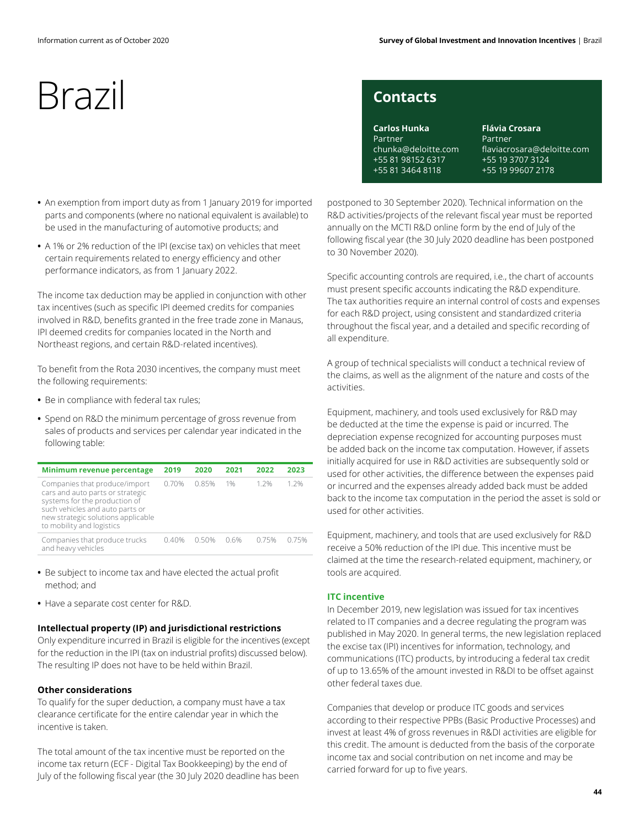# Brazil contacts

- An exemption from import duty as from 1 January 2019 for imported parts and components (where no national equivalent is available) to be used in the manufacturing of automotive products; and
- **•** A 1% or 2% reduction of the IPI (excise tax) on vehicles that meet certain requirements related to energy efficiency and other performance indicators, as from 1 January 2022.

The income tax deduction may be applied in conjunction with other tax incentives (such as specific IPI deemed credits for companies involved in R&D, benefits granted in the free trade zone in Manaus, IPI deemed credits for companies located in the North and Northeast regions, and certain R&D-related incentives).

To benefit from the Rota 2030 incentives, the company must meet the following requirements:

- **•** Be in compliance with federal tax rules;
- **•** Spend on R&D the minimum percentage of gross revenue from sales of products and services per calendar year indicated in the following table:

| Minimum revenue percentage                                                                                                                                                                               | 2019  | 2020  | 2021 | 2022  | 2023  |
|----------------------------------------------------------------------------------------------------------------------------------------------------------------------------------------------------------|-------|-------|------|-------|-------|
| Companies that produce/import<br>cars and auto parts or strategic<br>systems for the production of<br>such vehicles and auto parts or<br>new strategic solutions applicable<br>to mobility and logistics | 0.70% | 0.85% | 1%   | 1 2%  | 1 2%  |
| Companies that produce trucks<br>and heavy vehicles                                                                                                                                                      | 0.40% | 0.50% | 0.6% | 0.75% | 0.75% |

- **•** Be subject to income tax and have elected the actual profit method; and
- **•** Have a separate cost center for R&D.

## **Intellectual property (IP) and jurisdictional restrictions**

Only expenditure incurred in Brazil is eligible for the incentives (except for the reduction in the IPI (tax on industrial profits) discussed below). The resulting IP does not have to be held within Brazil.

## **Other considerations**

To qualify for the super deduction, a company must have a tax clearance certificate for the entire calendar year in which the incentive is taken.

The total amount of the tax incentive must be reported on the income tax return (ECF - Digital Tax Bookkeeping) by the end of July of the following fiscal year (the 30 July 2020 deadline has been

**Carlos Hunka** Partner chunka@deloitte.com +55 81 98152 6317 +55 81 3464 8118

**Flávia Crosara** Partner flaviacrosara@deloitte.com +55 19 3707 3124 +55 19 99607 2178

postponed to 30 September 2020). Technical information on the R&D activities/projects of the relevant fiscal year must be reported annually on the MCTI R&D online form by the end of July of the following fiscal year (the 30 July 2020 deadline has been postponed to 30 November 2020).

Specific accounting controls are required, i.e., the chart of accounts must present specific accounts indicating the R&D expenditure. The tax authorities require an internal control of costs and expenses for each R&D project, using consistent and standardized criteria throughout the fiscal year, and a detailed and specific recording of all expenditure.

A group of technical specialists will conduct a technical review of the claims, as well as the alignment of the nature and costs of the activities.

Equipment, machinery, and tools used exclusively for R&D may be deducted at the time the expense is paid or incurred. The depreciation expense recognized for accounting purposes must be added back on the income tax computation. However, if assets initially acquired for use in R&D activities are subsequently sold or used for other activities, the difference between the expenses paid or incurred and the expenses already added back must be added back to the income tax computation in the period the asset is sold or used for other activities.

Equipment, machinery, and tools that are used exclusively for R&D receive a 50% reduction of the IPI due. This incentive must be claimed at the time the research-related equipment, machinery, or tools are acquired.

## **ITC incentive**

In December 2019, new legislation was issued for tax incentives related to IT companies and a decree regulating the program was published in May 2020. In general terms, the new legislation replaced the excise tax (IPI) incentives for information, technology, and communications (ITC) products, by introducing a federal tax credit of up to 13.65% of the amount invested in R&DI to be offset against other federal taxes due.

Companies that develop or produce ITC goods and services according to their respective PPBs (Basic Productive Processes) and invest at least 4% of gross revenues in R&DI activities are eligible for this credit. The amount is deducted from the basis of the corporate income tax and social contribution on net income and may be carried forward for up to five years.